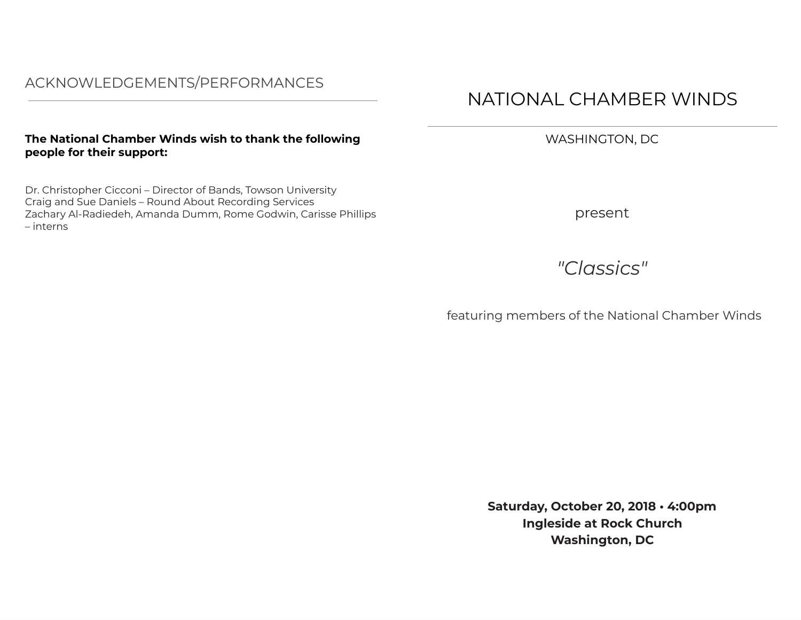## **The Naƴional Chamber WindƦ ǕiƦh ƴo ƴhank ƴhe folloǕing people for their support:**

Dr. Christopher Cicconi – Director of Bands, Towson University Craig and Sue Daniels – Round About Recording Services Zachary Al-Radiedeh, Amanda Dumm, Rome Godwin, Carisse Phillips – interns

## NATIONAL CHAMBER WINDS

WASHINGTON, DC

present

*"Classics"* 

featuring members of the National Chamber Winds

**Saturday, October 20, 2018 · 4:00pm Ingleside at Rock Church Washington, DC**